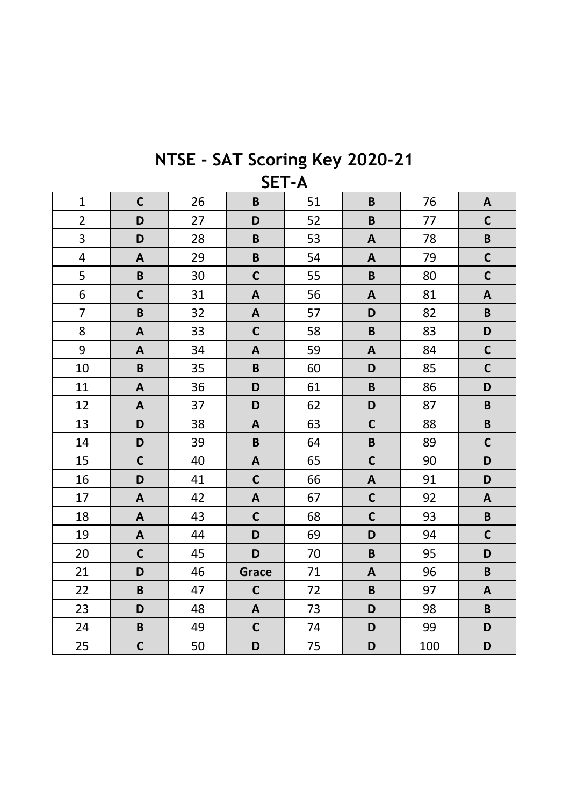| NTSE - SAT Scoring Key 2020-21 |              |  |
|--------------------------------|--------------|--|
|                                | <b>SET-A</b> |  |

| $\mathbf{1}$   | $\mathbf C$               | 26 | $\pmb B$     | 51 | B                       | 76  | $\mathbf{A}$              |
|----------------|---------------------------|----|--------------|----|-------------------------|-----|---------------------------|
| $\overline{2}$ | D                         | 27 | D            | 52 | $\mathsf B$             | 77  | $\mathbf C$               |
| 3              | D                         | 28 | $\mathbf B$  | 53 | $\mathbf{A}$            | 78  | $\pmb B$                  |
| $\overline{4}$ | $\mathbf{A}$              | 29 | $\mathbf B$  | 54 | $\mathbf{A}$            | 79  | $\mathbf C$               |
| 5              | $\mathsf B$               | 30 | $\mathbf C$  | 55 | $\mathsf B$             | 80  | $\mathbf C$               |
| 6              | $\mathbf C$               | 31 | A            | 56 | $\mathbf{A}$            | 81  | $\boldsymbol{\mathsf{A}}$ |
| $\overline{7}$ | $\mathsf B$               | 32 | A            | 57 | D                       | 82  | $\pmb B$                  |
| 8              | $\boldsymbol{\mathsf{A}}$ | 33 | $\mathsf{C}$ | 58 | $\overline{\mathsf{B}}$ | 83  | D                         |
| 9              | A                         | 34 | A            | 59 | $\mathbf{A}$            | 84  | $\mathbf C$               |
| 10             | $\pmb B$                  | 35 | $\pmb B$     | 60 | D                       | 85  | $\mathbf C$               |
| 11             | A                         | 36 | D            | 61 | $\overline{B}$          | 86  | D                         |
| 12             | A                         | 37 | D            | 62 | D                       | 87  | $\mathbf B$               |
| 13             | D                         | 38 | $\mathsf{A}$ | 63 | $\mathsf{C}$            | 88  | $\mathbf B$               |
| 14             | D                         | 39 | $\pmb B$     | 64 | $\mathsf B$             | 89  | $\mathbf C$               |
| 15             | $\mathsf{C}$              | 40 | $\mathbf{A}$ | 65 | $\mathsf{C}$            | 90  | D                         |
| 16             | D                         | 41 | $\mathsf{C}$ | 66 | $\mathbf{A}$            | 91  | D                         |
| 17             | $\mathbf{A}$              | 42 | $\mathbf{A}$ | 67 | $\mathsf{C}$            | 92  | $\mathbf{A}$              |
| 18             | A                         | 43 | $\mathsf{C}$ | 68 | $\mathsf{C}$            | 93  | $\pmb B$                  |
| 19             | $\mathbf{A}$              | 44 | D            | 69 | D                       | 94  | $\mathbf C$               |
| 20             | $\mathbf C$               | 45 | D            | 70 | $\mathsf B$             | 95  | D                         |
| 21             | D                         | 46 | Grace        | 71 | $\mathbf{A}$            | 96  | $\pmb B$                  |
| 22             | $\pmb B$                  | 47 | $\mathsf{C}$ | 72 | $\mathsf B$             | 97  | $\boldsymbol{\mathsf{A}}$ |
| 23             | D                         | 48 | $\mathbf{A}$ | 73 | D                       | 98  | $\mathsf B$               |
| 24             | $\pmb B$                  | 49 | $\mathsf{C}$ | 74 | D                       | 99  | D                         |
| 25             | $\mathbf C$               | 50 | D            | 75 | D                       | 100 | D                         |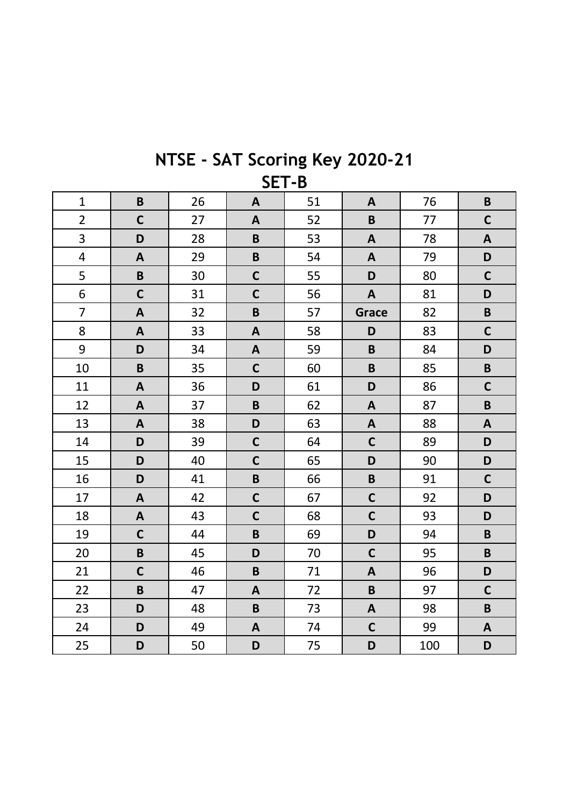| JL I -D        |              |    |                           |    |              |     |                           |  |
|----------------|--------------|----|---------------------------|----|--------------|-----|---------------------------|--|
| $\mathbf{1}$   | $\pmb B$     | 26 | $\mathbf{A}$              | 51 | A            | 76  | $\pmb B$                  |  |
| $\overline{2}$ | $\mathbf C$  | 27 | $\boldsymbol{A}$          | 52 | $\mathsf B$  | 77  | $\mathbf C$               |  |
| 3              | D            | 28 | $\mathsf B$               | 53 | $\mathbf{A}$ | 78  | $\mathbf{A}$              |  |
| $\overline{4}$ | $\mathbf{A}$ | 29 | $\mathsf B$               | 54 | $\mathbf{A}$ | 79  | D                         |  |
| 5              | $\mathbf B$  | 30 | $\mathsf{C}$              | 55 | D            | 80  | $\mathbf C$               |  |
| 6              | $\mathbf C$  | 31 | $\mathsf{C}$              | 56 | $\mathbf{A}$ | 81  | D                         |  |
| $\overline{7}$ | $\mathbf{A}$ | 32 | $\mathbf B$               | 57 | Grace        | 82  | $\pmb B$                  |  |
| 8              | $\mathbf{A}$ | 33 | $\boldsymbol{\mathsf{A}}$ | 58 | D            | 83  | $\mathbf C$               |  |
| 9              | D            | 34 | $\mathbf{A}$              | 59 | $\mathbf B$  | 84  | D                         |  |
| 10             | $\pmb B$     | 35 | $\mathsf{C}$              | 60 | $\pmb B$     | 85  | $\pmb B$                  |  |
| 11             | $\mathbf{A}$ | 36 | D                         | 61 | D            | 86  | $\mathbf C$               |  |
| 12             | A            | 37 | $\mathbf B$               | 62 | A            | 87  | $\pmb B$                  |  |
| 13             | A            | 38 | D                         | 63 | A            | 88  | $\mathbf{A}$              |  |
| 14             | D            | 39 | $\mathsf{C}$              | 64 | $\mathsf{C}$ | 89  | D                         |  |
| 15             | D            | 40 | $\mathsf{C}$              | 65 | D            | 90  | D                         |  |
| 16             | D            | 41 | $\mathsf B$               | 66 | $\pmb B$     | 91  | $\mathbf C$               |  |
| 17             | $\mathbf{A}$ | 42 | $\mathsf{C}$              | 67 | $\mathsf{C}$ | 92  | D                         |  |
| 18             | A            | 43 | $\mathbf C$               | 68 | $\mathsf{C}$ | 93  | D                         |  |
| 19             | $\mathbf C$  | 44 | B                         | 69 | D            | 94  | $\pmb B$                  |  |
| 20             | $\pmb B$     | 45 | D                         | 70 | $\mathsf{C}$ | 95  | $\pmb B$                  |  |
| 21             | $\mathbf C$  | 46 | $\pmb B$                  | 71 | $\mathbf{A}$ | 96  | D                         |  |
| 22             | $\pmb B$     | 47 | $\mathbf{A}$              | 72 | $\mathbf B$  | 97  | $\mathbf C$               |  |
| 23             | D            | 48 | $\mathsf B$               | 73 | $\mathbf{A}$ | 98  | $\pmb B$                  |  |
| 24             | D            | 49 | $\pmb{\mathsf{A}}$        | 74 | $\mathsf{C}$ | 99  | $\boldsymbol{\mathsf{A}}$ |  |
| 25             | D            | 50 | D                         | 75 | D            | 100 | D                         |  |

## NTSE - SAT Scoring Key 2020-21 **SFT.R**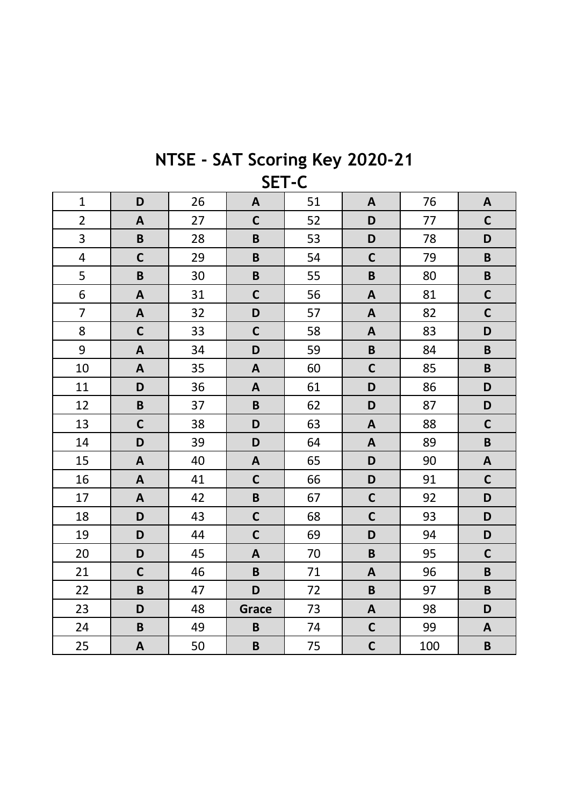| <b>JEI-C</b>   |              |    |                           |    |                           |     |                           |  |
|----------------|--------------|----|---------------------------|----|---------------------------|-----|---------------------------|--|
| $\mathbf{1}$   | D            | 26 | A                         | 51 | A                         | 76  | A                         |  |
| $\overline{2}$ | $\mathbf{A}$ | 27 | $\mathbf C$               | 52 | D                         | 77  | $\mathbf C$               |  |
| 3              | $\pmb B$     | 28 | $\mathbf B$               | 53 | D                         | 78  | D                         |  |
| $\overline{4}$ | $\mathbf C$  | 29 | $\mathbf B$               | 54 | $\mathsf{C}$              | 79  | $\pmb B$                  |  |
| 5              | $\pmb B$     | 30 | $\pmb B$                  | 55 | $\pmb B$                  | 80  | $\pmb B$                  |  |
| 6              | $\mathbf{A}$ | 31 | $\mathbf C$               | 56 | $\mathbf{A}$              | 81  | $\mathbf C$               |  |
| $\overline{7}$ | A            | 32 | D                         | 57 | A                         | 82  | $\mathbf C$               |  |
| 8              | $\mathbf C$  | 33 | $\mathbf C$               | 58 | A                         | 83  | D                         |  |
| 9              | $\mathbf{A}$ | 34 | D                         | 59 | $\pmb B$                  | 84  | $\pmb B$                  |  |
| 10             | $\mathsf{A}$ | 35 | $\overline{\mathsf{A}}$   | 60 | $\mathsf{C}$              | 85  | $\pmb B$                  |  |
| 11             | D            | 36 | $\boldsymbol{\mathsf{A}}$ | 61 | D                         | 86  | D                         |  |
| 12             | $\pmb B$     | 37 | $\pmb B$                  | 62 | D                         | 87  | D                         |  |
| 13             | $\mathbf C$  | 38 | D                         | 63 | $\boldsymbol{\mathsf{A}}$ | 88  | $\mathbf C$               |  |
| 14             | D            | 39 | D                         | 64 | A                         | 89  | $\pmb B$                  |  |
| 15             | $\mathbf{A}$ | 40 | $\boldsymbol{\mathsf{A}}$ | 65 | D                         | 90  | $\boldsymbol{\mathsf{A}}$ |  |
| 16             | A            | 41 | $\mathbf C$               | 66 | D                         | 91  | $\mathbf C$               |  |
| 17             | $\mathbf{A}$ | 42 | $\pmb B$                  | 67 | $\mathbf C$               | 92  | D                         |  |
| 18             | D            | 43 | $\mathsf{C}$              | 68 | $\mathsf{C}$              | 93  | D                         |  |
| 19             | D            | 44 | $\mathsf{C}$              | 69 | D                         | 94  | D                         |  |
| 20             | D            | 45 | $\mathbf{A}$              | 70 | $\pmb B$                  | 95  | $\mathbf C$               |  |
| 21             | $\mathbf C$  | 46 | $\mathbf B$               | 71 | A                         | 96  | $\pmb B$                  |  |
| 22             | $\pmb B$     | 47 | D                         | 72 | $\pmb B$                  | 97  | $\pmb B$                  |  |
| 23             | D            | 48 | <b>Grace</b>              | 73 | A                         | 98  | D                         |  |
| 24             | $\pmb B$     | 49 | $\mathbf B$               | 74 | $\mathbf C$               | 99  | $\boldsymbol{\mathsf{A}}$ |  |
| 25             | $\mathbf{A}$ | 50 | $\mathbf B$               | 75 | $\mathsf{C}$              | 100 | $\pmb B$                  |  |

## NTSE - SAT Scoring Key 2020-21  $\overline{\phantom{a}}$